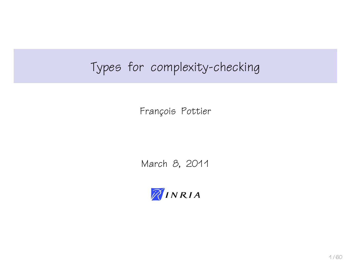# Types for complexity-checking

François Pottier

March 8, 2011

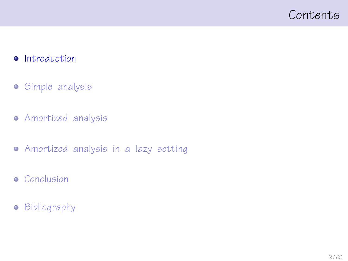## <span id="page-1-0"></span>Contents

### • [Introduction](#page-1-0)

- [Simple analysis](#page-10-0)
- [Amortized analysis](#page-20-0)
- [Amortized analysis in a lazy setting](#page-32-0)
- **•** [Conclusion](#page-52-0)
- **•** [Bibliography](#page-56-0)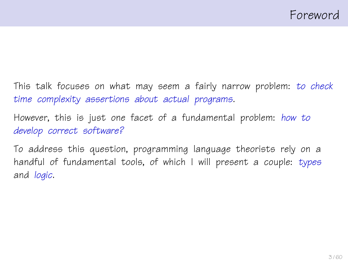This talk focuses on what may seem a fairly narrow problem: to check time complexity assertions about actual programs.

However, this is just one facet of a fundamental problem: how to develop correct software?

To address this question, programming language theorists rely on a handful of fundamental tools, of which I will present a couple: types and logic.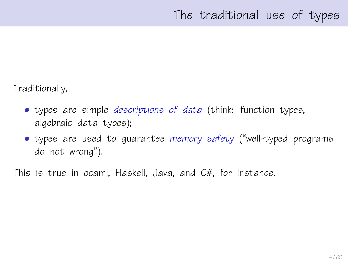Traditionally,

- types are simple *descriptions of data* (think: function types, algebraic data types);
- types are used to guarantee memory safety ("well-typed programs do not wrong").

This is true in ocaml, Haskell, Java, and C#, for instance.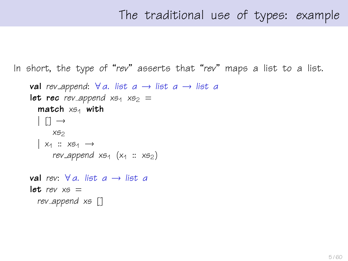# The traditional use of types: example

In short, the type of "rev" asserts that "rev" maps a list to a list.

```
val rev append: \forall a. list a \rightarrow list a \rightarrow list a
let rec rev append x_{51} x_{52} =
   match x_{51} with
   | \n\begin{bmatrix} 1 \\ -1 \end{bmatrix} \rightarrowXS<sub>2</sub>
   | x_1 :: x_{5_1} \rightarrowrev append x_{51} (x_1 :: x_{52})val rev: \forall a. list a \rightarrow list alet. rev x6 =rev append xs []
```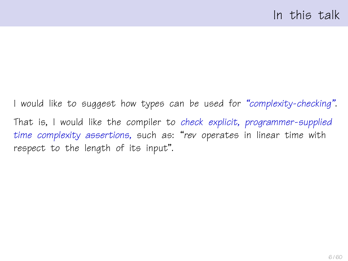I would like to suggest how types can be used for "complexity-checking". That is, I would like the compiler to check explicit, programmer-supplied time complexity assertions, such as: "rev operates in linear time with respect to the length of its input".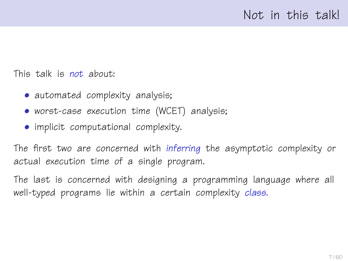This talk is not about:

- automated complexity analysis;
- worst-case execution time (WCET) analysis;
- implicit computational complexity.

The first two are concerned with inferring the asymptotic complexity or actual execution time of a single program.

The last is concerned with designing a programming language where all well-typed programs lie within a certain complexity class.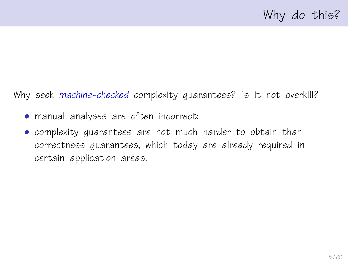Why seek machine-checked complexity quarantees? Is it not overkill?

- manual analyses are often incorrect;
- complexity guarantees are not much harder to obtain than correctness guarantees, which today are already required in certain application areas.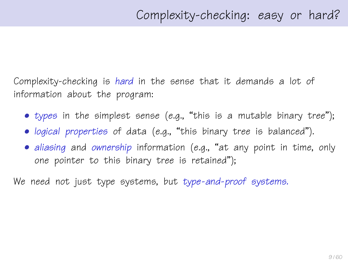Complexity-checking is hard in the sense that it demands a lot of information about the program:

- types in the simplest sense (e.g., "this is a mutable binary tree");
- logical properties of data (e.g., "this binary tree is balanced").
- aliasing and ownership information (e.g., "at any point in time, only one pointer to this binary tree is retained");

We need not just type systems, but type-and-proof systems.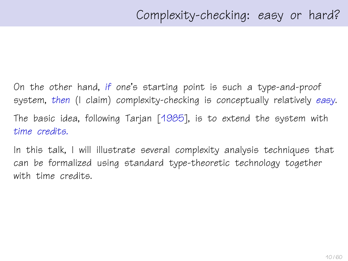On the other hand, if one's starting point is such a type-and-proof system, then (I claim) complexity-checking is conceptually relatively easy. The basic idea, following Tarjan [\[1985\]](#page-58-0), is to extend the system with time credits.

In this talk, I will illustrate several complexity analysis techniques that can be formalized using standard type-theoretic technology together with time credits.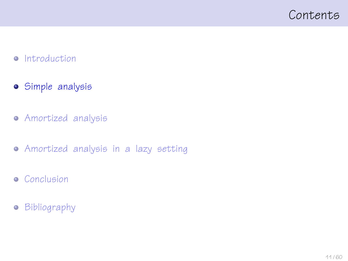## <span id="page-10-0"></span>Contents

#### • [Introduction](#page-1-0)

- [Simple analysis](#page-10-0)
- [Amortized analysis](#page-20-0)
- [Amortized analysis in a lazy setting](#page-32-0)
- **•** [Conclusion](#page-52-0)
- **•** [Bibliography](#page-56-0)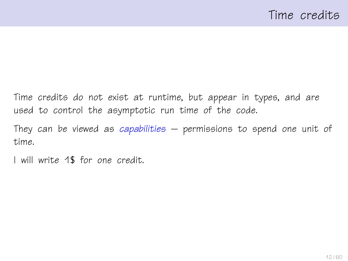Time credits do not exist at runtime, but appear in types, and are used to control the asymptotic run time of the code.

They can be viewed as capabilities  $-$  permissions to spend one unit of time.

I will write 1\$ for one credit.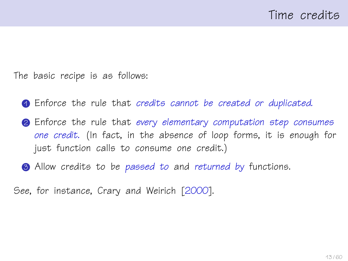The basic recipe is as follows:

- <span id="page-12-0"></span>**1** Enforce the rule that credits cannot be created or duplicated.
- **2** Enforce the rule that every elementary computation step consumes one credit. (In fact, in the absence of loop forms, it is enough for just function calls to consume one credit.)
- **3** Allow credits to be passed to and returned by functions.

See, for instance, Crary and Weirich [\[2000\]](#page-57-0).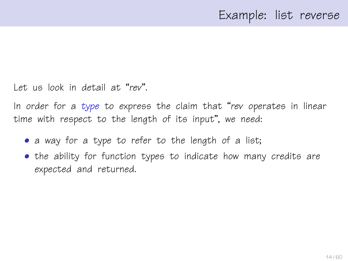Let us look in detail at "rev".

In order for a type to express the claim that "rev operates in linear time with respect to the length of its input", we need:

- a way for a type to refer to the length of a list;
- the ability for function types to indicate how many credits are expected and returned.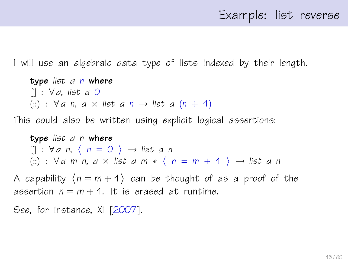I will use an algebraic data type of lists indexed by their length.

type list a n where  $[1: \forall a, \text{ list } a \text{ } 0]$ (::) :  $\forall a \, n, a \times \text{list } a \, n \rightarrow \text{list } a \, (n + 1)$ 

This could also be written using explicit logical assertions:

type list a n where  $[1: \forall a \; n, \; \langle \; n = 0 \; \rangle \rightarrow$  list a n (::) :  $\forall a \text{ m } n, a \times \text{list } a \text{ m } * \langle n = m + 1 \rangle \rightarrow \text{list } a \text{ n }$ 

A capability  $(n = m + 1)$  can be thought of as a proof of the assertion  $n = m + 1$ . It is erased at runtime.

See, for instance, Xi [\[2007\]](#page-59-0).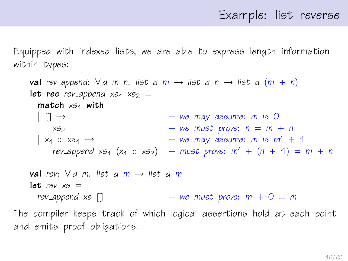Equipped with indexed lists, we are able to express length information within types:

```
val rev append: \forall a \text{ m } n. list a \text{ m } \rightarrow list a \text{ n } \rightarrow list a \text{ (m + n)}let rec rev_append x_{51} x_{52} =
        match x_{54} with
         | | \rangle \rightarrow | | \rangle \rightarrow | | \rightarrow | \rightarrow | \rightarrow | \rightarrow | \rightarrow | \rightarrow | \rightarrow | \rightarrow | \rightarrow | \rightarrow | \rightarrow | \rightarrow | \rightarrow | \rightarrow | \rightarrow | \rightarrow | \rightarrow | \rightarrow | \rightarrow | \rightarrow x_{52} – we must prove: n = m + n\vert x_1 : x_{5} \rightarrow – we may assume: m is m' + 1
               rev_append xs_1 (x_1 :: xs_2) – must prove: m' + (n + 1) = m + nval rev: \forall a m. list a m \rightarrow list a m
      let rev x_5 =rev append xs \begin{bmatrix} 1 \end{bmatrix} – we must prove: m + 0 = mThe compiler keeps track of which logical assertions hold at each point
and emits proof obligations.
```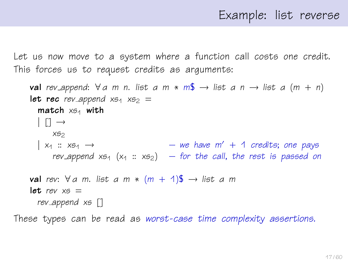Let us now move to a system where a function call costs one credit. This forces us to request credits as arguments:

val rev append:  $\forall a$  m n. list a m  $*$  m\$  $\rightarrow$  list a n  $\rightarrow$  list a (m + n) let rec rev\_append  $x_{51}$   $x_{52}$  =  $match \times 54$  with  $|$  [1  $\rightarrow$  $X52$  $\vert x_1 : x_{51} \rightarrow \vert x_2 \vert - \vert w e \vert$  have  $m' + 1$  credits; one pays rev append  $x_{51}$  ( $x_1 :: x_{52}$ ) – for the call, the rest is passed on **val** rev:  $\forall a$  m. list a m  $*$  (m + 1)\$  $\rightarrow$  list a m let rev  $x5 =$ rev append xs []

These types can be read as worst-case time complexity assertions.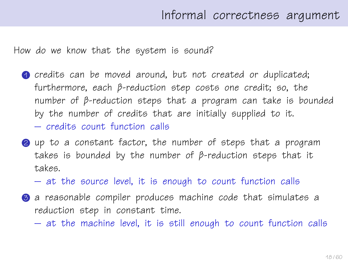How do we know that the system is sound?

- **1** credits can be moved around, but not created or duplicated; furthermore, each β-reduction step costs one credit; so, the number of β-reduction steps that a program can take is bounded by the number of credits that are initially supplied to it. – credits count function calls
- 2 up to a constant factor, the number of steps that a program takes is bounded by the number of β-reduction steps that it takes.
	- at the source level, it is enough to count function calls
- **3** a reasonable compiler produces machine code that simulates a reduction step in constant time.
	- at the machine level, it is still enough to count function calls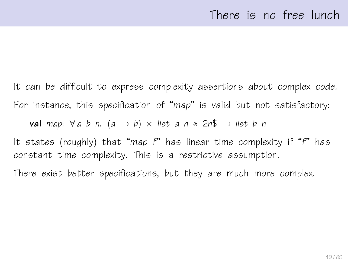It can be difficult to express complexity assertions about complex code. For instance, this specification of "map" is valid but not satisfactory:

**val** map:  $\forall a \ b \ n$ .  $(a \rightarrow b) \times$  list a  $n \times 2n\$  → list b n

It states (roughly) that "map f" has linear time complexity if "f" has constant time complexity. This is a restrictive assumption.

There exist better specifications, but they are much more complex.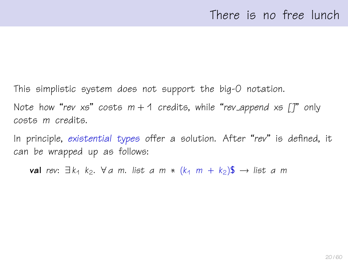This simplistic system does not support the big-O notation. Note how "rev xs" costs  $m + 1$  credits, while "rev\_append xs  $\lceil \rceil$ " only costs m credits.

In principle, existential types offer a solution. After "rev" is defined, it can be wrapped up as follows:

val rev:  $\exists k_1 \; k_2$ .  $\forall a \; m$ . list a m \*  $(k_1 \; m + k_2)$ \$  $\rightarrow$  list a m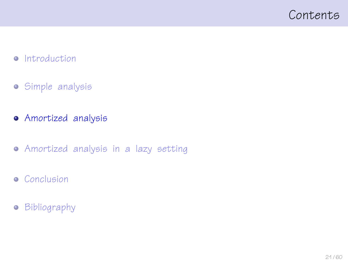## <span id="page-20-0"></span>Contents

### • [Introduction](#page-1-0)

- [Simple analysis](#page-10-0)
- [Amortized analysis](#page-20-0)
- [Amortized analysis in a lazy setting](#page-32-0)
- **•** [Conclusion](#page-52-0)
- **•** [Bibliography](#page-56-0)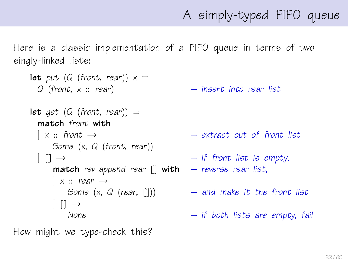# A simply-typed FIFO queue

Here is a classic implementation of a FIFO queue in terms of two singly-linked lists:

```
let put (Q (front, rear)) x =Q (front, x :: rear) – insert into rear list
let get (Q (front, rear)) =
 match front with
  \vert x :: front \rightarrow \qquad \qquad - extract out of front list
     Some (x, Q (front, rear))
  \begin{array}{ccc} \vert & \vert \vert & \to & \end{array} \qquad \qquad - if front list is empty,
      match rev append rear \begin{bmatrix} 1 \\ 1 \end{bmatrix} with – reverse rear list,
      | x :: rear \rightarrowSome (x, Q \text{ (rear, } [1])) - and make it the front list
       |1 \rightarrowNone - if both lists are empty, fail
```
How might we type-check this?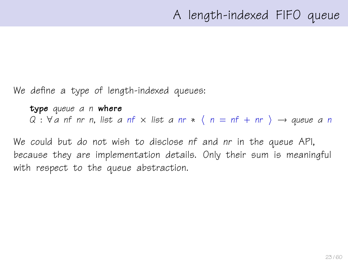We define a type of length-indexed queues:

type queue α n where  $Q : \forall a$  nf nr n, list a nf  $\times$  list a nr  $*$   $\langle n = nf + nr \rangle \rightarrow$  queue a n

We could but do not wish to disclose nf and nr in the queue API, because they are implementation details. Only their sum is meaningful with respect to the queue abstraction.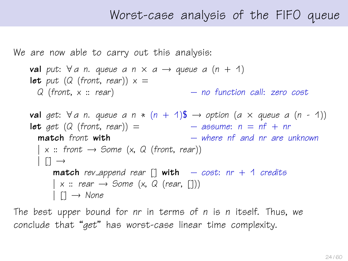## Worst-case analysis of the FIFO queue

We are now able to carry out this analysis:

```
val put: \forall a n. queue a n \times a \rightarrow queue a (n + 1)
let put (Q (front, rear)) x =Q (front, x :: rear) – no function call: zero cost
val get: \forall a n. queue a n * (n + 1)$ \rightarrow option (a \times queue a (n - 1))
let get (Q \text{ (front, rear)}) = - assume: n = nf + nrmatch front with - where nf and nr are unknown
  \vert x :: front \rightarrow Some (x, Q (front, rear))
  | \rceil \rightarrowmatch rev append rear [] with - cost: nr + 1 credits
      \vert x :: \text{rear} \rightarrow \text{Some} \ (x, \ Q \ (\text{rear}, \ [1]))| | \rightarrow None
```
The best upper bound for nr in terms of n is n itself. Thus, we conclude that "get" has worst-case linear time complexity.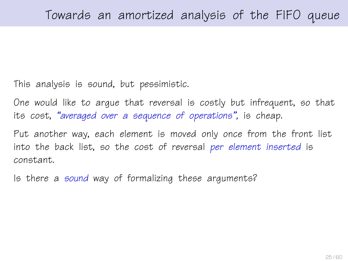This analysis is sound, but pessimistic.

One would like to argue that reversal is costly but infrequent, so that its cost, "averaged over a sequence of operations", is cheap.

Put another way, each element is moved only once from the front list into the back list, so the cost of reversal per element inserted is constant.

Is there a sound way of formalizing these arguments?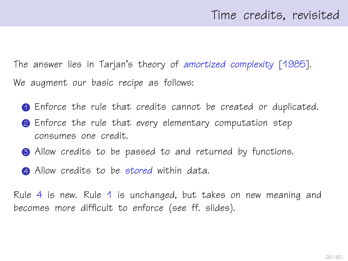The answer lies in Tarjan's theory of amortized complexity [\[1985\]](#page-58-0). We augment our basic recipe as follows:

- 1 Enforce the rule that credits cannot be created or duplicated.
- **2** Enforce the rule that every elementary computation step consumes one credit.
- **3** Allow credits to be passed to and returned by functions.
- <span id="page-25-0"></span>**4** Allow credits to be stored within data.

Rule [4](#page-25-0) is new. Rule [1](#page-12-0) is unchanged, but takes on new meaning and becomes more difficult to enforce (see ff. slides).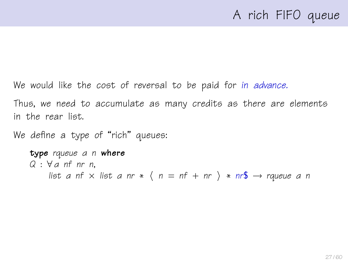# A rich FIFO queue

We would like the cost of reversal to be paid for in advance.

Thus, we need to accumulate as many credits as there are elements in the rear list.

We define a type of "rich" queues:

type rqueue a n where  $Q : \forall a$  nf nr n, list a nf x list a nr \*  $\langle n = nf + nr \rangle * nr\$  → rqueue a n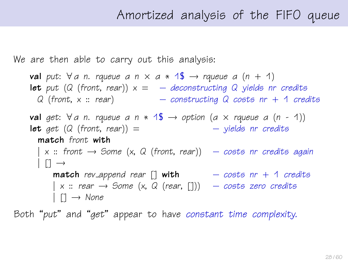## Amortized analysis of the FIFO queue

We are then able to carry out this analysis:

val put:  $\forall a$  n. rqueue a n  $\times$  a  $*$  1\$  $\rightarrow$  rqueue a (n + 1) **let** put (Q (front, rear))  $x = -$  deconstructing Q yields nr credits  $Q$  (front,  $x :: rear$ ) – constructing  $Q$  costs nr  $+$  1 credits val get:  $\forall a$  n. rqueue a n  $*$  1\$  $\rightarrow$  option (a  $\times$  rqueue a (n - 1)) **let** get  $(Q \text{ (front, rear)}) =$  – yields nr credits match front with  $\mid$  x :: front  $\rightarrow$  Some (x, Q (front, rear))  $\quad$  - costs nr credits again  $| \n\begin{bmatrix} 1 \end{bmatrix} \rightarrow$ **match** rev\_append rear  $\begin{bmatrix} 1 & \text{with} \\ 1 & \text{if} \\ 0 & \text{if} \end{bmatrix}$  + 1 credits  $\vert$  x :: rear  $\rightarrow$  Some (x, Q (rear, [1])  $\quad$  – costs zero credits  $|$   $\Box \rightarrow$  None

Both "put" and "get" appear to have constant time complexity.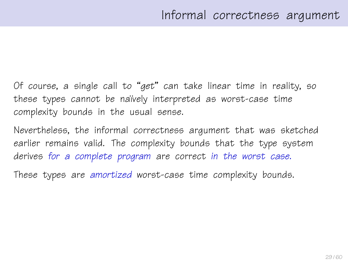Of course, a single call to "get" can take linear time in reality, so these types cannot be naïvely interpreted as worst-case time complexity bounds in the usual sense.

Nevertheless, the informal correctness argument that was sketched earlier remains valid. The complexity bounds that the type system derives for a complete program are correct in the worst case.

These types are amortized worst-case time complexity bounds.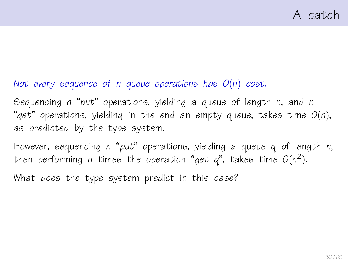### Not every sequence of n queue operations has  $O(n)$  cost.

Sequencing n "put" operations, yielding a queue of length n, and n "get" operations, yielding in the end an empty queue, takes time  $O(n)$ , as predicted by the type system.

However, sequencing n "put" operations, yielding a queue q of length n, then performing n times the operation "get q", takes time  $O(n^2)$ .

What does the type system predict in this case?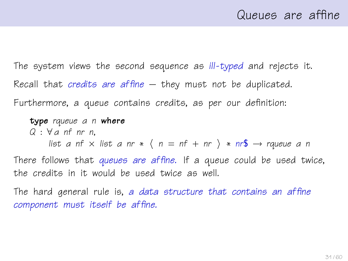The system views the second sequence as ill-typed and rejects it. Recall that *credits are affine* – they must not be duplicated. Furthermore, a queue contains credits, as per our definition:

type rqueue a n where  $Q : \forall a$  nf nr n, list a nf  $\times$  list a nr  $\ast$   $\langle n = n f + n r \rangle \ast nr$   $\rightarrow$  rqueue a n There follows that queues are affine. If a queue could be used twice, the credits in it would be used twice as well.

The hard general rule is, a data structure that contains an affine component must itself be affine.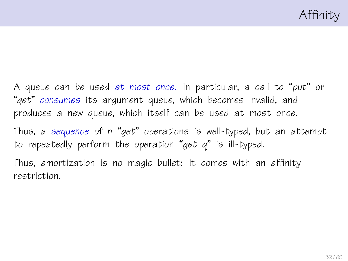A queue can be used at most once. In particular, a call to "put" or "get" consumes its argument queue, which becomes invalid, and produces a new queue, which itself can be used at most once.

Thus, a sequence of n "get" operations is well-typed, but an attempt to repeatedly perform the operation "get  $q$ " is ill-typed.

Thus, amortization is no magic bullet: it comes with an affinity restriction.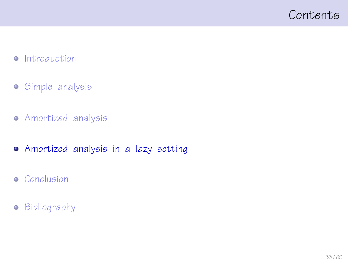## <span id="page-32-0"></span>Contents

### • [Introduction](#page-1-0)

- [Simple analysis](#page-10-0)
- [Amortized analysis](#page-20-0)
- [Amortized analysis in a lazy setting](#page-32-0)
- **•** [Conclusion](#page-52-0)
- **•** [Bibliography](#page-56-0)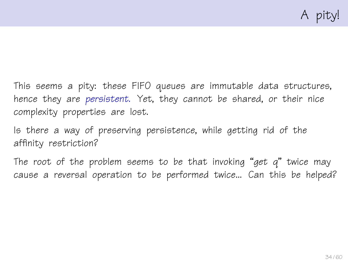This seems a pity: these FIFO queues are immutable data structures, hence they are persistent. Yet, they cannot be shared, or their nice complexity properties are lost.

Is there a way of preserving persistence, while getting rid of the affinity restriction?

The root of the problem seems to be that invoking "get  $q$ " twice may cause a reversal operation to be performed twice... Can this be helped?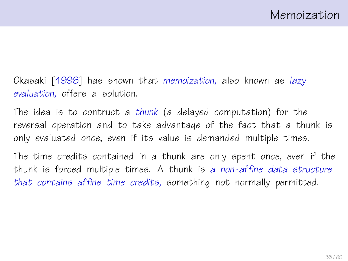Okasaki [\[1996\]](#page-58-1) has shown that memoization, also known as lazy evaluation, offers a solution.

The idea is to contruct a thunk (a delayed computation) for the reversal operation and to take advantage of the fact that a thunk is only evaluated once, even if its value is demanded multiple times.

The time credits contained in a thunk are only spent once, even if the thunk is forced multiple times. A thunk is a non-affine data structure that contains affine time credits, something not normally permitted.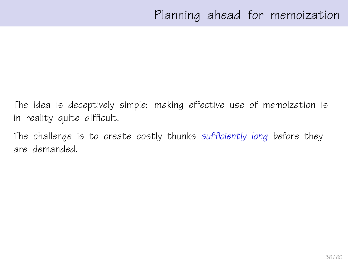The idea is deceptively simple: making effective use of memoization is in reality quite difficult.

The challenge is to create costly thunks sufficiently long before they are demanded.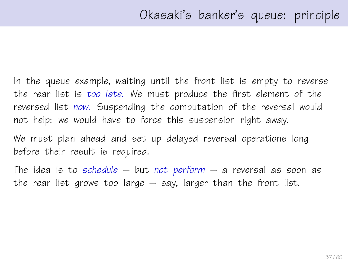In the queue example, waiting until the front list is empty to reverse the rear list is too late. We must produce the first element of the reversed list now. Suspending the computation of the reversal would not help: we would have to force this suspension right away.

We must plan ahead and set up delayed reversal operations long before their result is required.

The idea is to schedule  $-$  but not perform  $-$  a reversal as soon as the rear list grows too large  $-$  say, larger than the front list.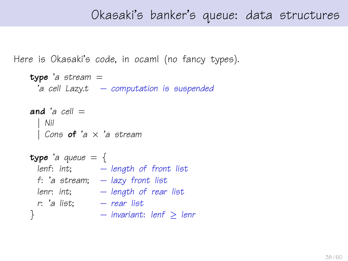```
Here is Okasaki's code, in ocaml (no fancy types).
```

```
type 'a stream =ia cell Lazy.t – computation is suspended
and a cell =| Nil
 | Cons of 'a \times 'a stream
type 'a queue = {
 lenf: int; - length of front list
 f: 'a stream; - lazy front list
 lenr: int; - length of rear listr: 'a list; – rear list
} – invariant: lenf \geq lenr
```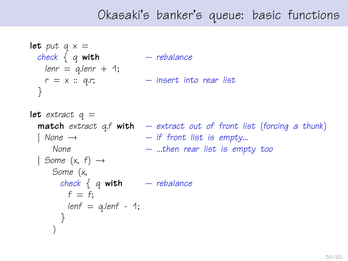# Okasaki's banker's queue: basic functions

```
let put q \times zcheck \{ q \text{ with } - \text{ rebalance} \}lenn = q.length + 1;r = x :: q.r; – insert into rear list
 }
let extract q =match extract q.f with - extract out of front list (forcing a thunk)
  \vert None \rightarrow \vert if front list is empty...
     None – ...then rear list is empty too
 | Some (x, f) \rightarrowSome (x,
       check \{ q \text{ with } - rebalance
        f = f:
        lenf = q.length - 1;}
     )
```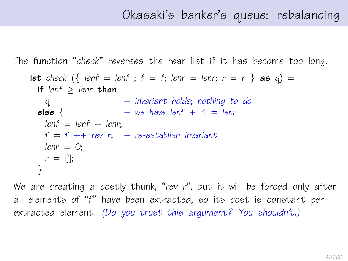```
The function "check" reverses the rear list if it has become too long.
```

```
let check \left(\left\{\right\} lenf = lenf; f = f; lenr = lenr; r = r \} as q) =
 if lenf > lenr then
   q – invariant holds; nothing to do
 else \{ – we have lenf + 1 = lenr
   lenf = lenf + lenr:
   f = f ++ rev r; – re-establish invariant
   lenn = 0;r = \lceil \cdot \rceil;
 }
```
We are creating a costly thunk, "rev r", but it will be forced only after all elements of "f" have been extracted, so its cost is constant per extracted element. (Do you trust this argument? You shouldn't.)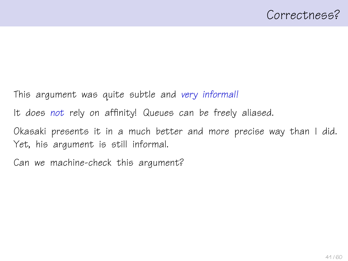This argument was quite subtle and very informal!

It does not rely on affinity! Queues can be freely aliased.

Okasaki presents it in a much better and more precise way than I did. Yet, his argument is still informal.

Can we machine-check this argument?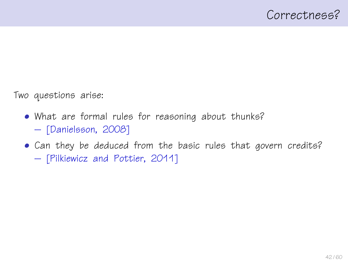Two questions arise:

- What are formal rules for reasoning about thunks? – [\[Danielsson, 2008\]](#page-57-1)
- Can they be deduced from the basic rules that govern credits?
	- [\[Pilkiewicz and Pottier, 2011\]](#page-58-2)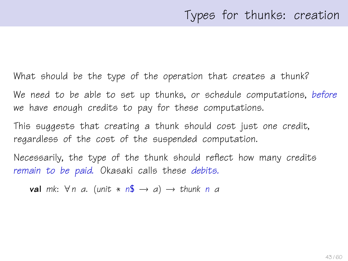What should be the type of the operation that creates a thunk?

We need to be able to set up thunks, or schedule computations, before we have enough credits to pay for these computations.

This suggests that creating a thunk should cost just one credit, regardless of the cost of the suspended computation.

Necessarily, the type of the thunk should reflect how many credits remain to be paid. Okasaki calls these debits.

val mk:  $\forall n$  a. (unit \*  $n\mathbb{S} \rightarrow a$ )  $\rightarrow$  thunk n a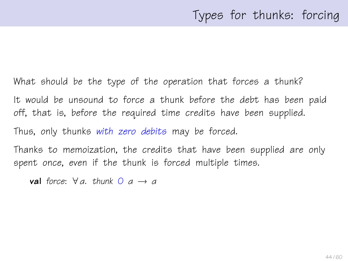What should be the type of the operation that forces a thunk? It would be unsound to force a thunk before the debt has been paid off, that is, before the required time credits have been supplied. Thus, only thunks with zero debits may be forced.

Thanks to memoization, the credits that have been supplied are only spent once, even if the thunk is forced multiple times.

val force:  $\forall a$ , thunk  $0$   $a \rightarrow a$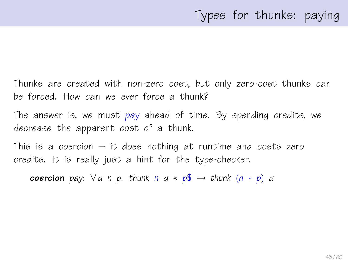Thunks are created with non-zero cost, but only zero-cost thunks can be forced. How can we ever force a thunk?

The answer is, we must pay ahead of time. By spending credits, we decrease the apparent cost of a thunk.

This is a coercion  $-$  it does nothing at runtime and costs zero credits. It is really just a hint for the type-checker.

**coercion** pay:  $\forall a \in p$ . thunk  $n \in \mathbb{R}$   $\rightarrow$  thunk  $(n - p)$  a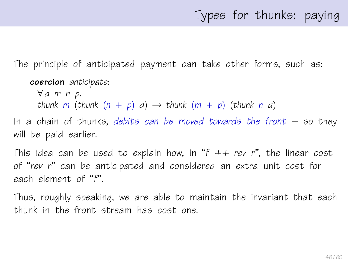# Types for thunks: paying

The principle of anticipated payment can take other forms, such as:

```
coercion anticipate:
```
∀ α m n p. thunk m (thunk  $(n + p)$  a)  $\rightarrow$  thunk  $(m + p)$  (thunk n a)

In a chain of thunks, debits can be moved towards the front  $-$  so they will be paid earlier.

This idea can be used to explain how, in "f  $++$  rev r", the linear cost of "rev r" can be anticipated and considered an extra unit cost for each element of "f".

Thus, roughly speaking, we are able to maintain the invariant that each thunk in the front stream has cost one.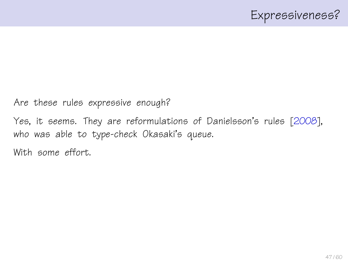Are these rules expressive enough?

Yes, it seems. They are reformulations of Danielsson's rules [\[2008\]](#page-57-1), who was able to type-check Okasaki's queue.

With some effort.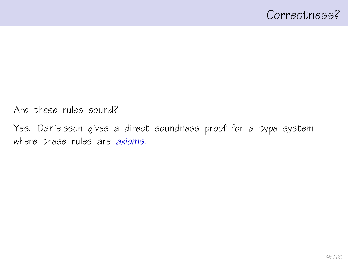Are these rules sound?

Yes. Danielsson gives a direct soundness proof for a type system where these rules are *axioms*.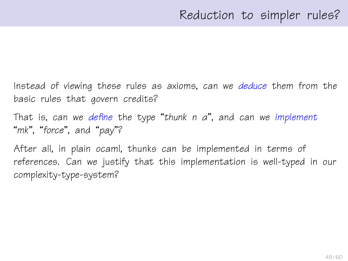Instead of viewing these rules as axioms, can we deduce them from the basic rules that govern credits?

That is, can we define the type "thunk  $n$   $a$ ", and can we implement "mk", "force", and "pay"?

After all, in plain ocaml, thunks can be implemented in terms of references. Can we justify that this implementation is well-typed in our complexity-type-system?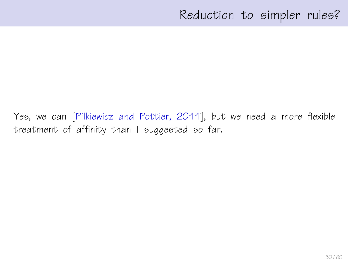Yes, we can [\[Pilkiewicz and Pottier, 2011\]](#page-58-2), but we need a more flexible treatment of affinity than I suggested so far.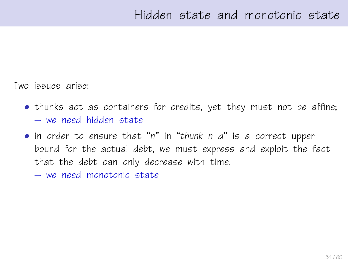Two issues arise:

- thunks act as containers for credits, yet they must not be affine; – we need hidden state
- in order to ensure that "n" in "thunk n α" is a correct upper bound for the actual debt, we must express and exploit the fact that the debt can only decrease with time.
	- we need monotonic state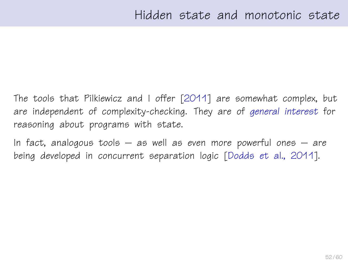The tools that Pilkiewicz and I offer [\[2011\]](#page-58-2) are somewhat complex, but are independent of complexity-checking. They are of general interest for reasoning about programs with state.

In fact, analogous tools  $-$  as well as even more powerful ones  $-$  are being developed in concurrent separation logic [\[Dodds et al., 2011\]](#page-57-2).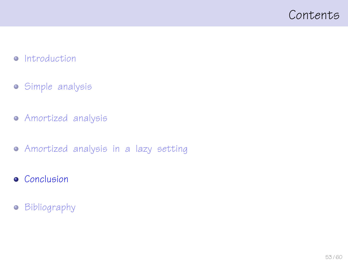## <span id="page-52-0"></span>Contents

### • [Introduction](#page-1-0)

- [Simple analysis](#page-10-0)
- [Amortized analysis](#page-20-0)
- [Amortized analysis in a lazy setting](#page-32-0)
- **•** [Conclusion](#page-52-0)
- **•** [Bibliography](#page-56-0)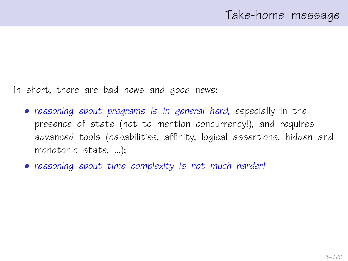In short, there are bad news and good news:

- reasoning about programs is in general hard, especially in the presence of state (not to mention concurrency!), and requires advanced tools (capabilities, affinity, logical assertions, hidden and monotonic state, ...);
- reasoning about time complexity is not much harder!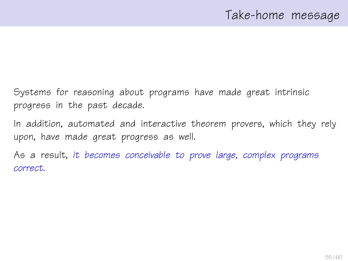Systems for reasoning about programs have made great intrinsic progress in the past decade.

In addition, automated and interactive theorem provers, which they rely upon, have made great progress as well.

As a result, it becomes conceivable to prove large, complex programs correct.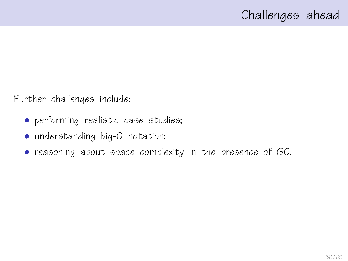Further challenges include:

- performing realistic case studies;
- understanding big-O notation;
- reasoning about space complexity in the presence of GC.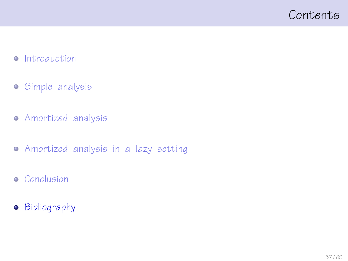## <span id="page-56-0"></span>Contents

### • [Introduction](#page-1-0)

- [Simple analysis](#page-10-0)
- [Amortized analysis](#page-20-0)
- [Amortized analysis in a lazy setting](#page-32-0)
- **•** [Conclusion](#page-52-0)
- **•** [Bibliography](#page-56-0)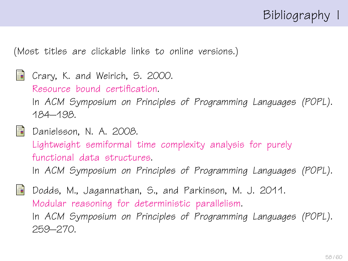

(Most titles are clickable links to online versions.)

<span id="page-57-0"></span>**Crary, K. and Weirich, S. 2000.** [Resource bound certification.](http://www.cs.cornell.edu/talc/papers/resource_bound/res.pdf) In ACM Symposium on Principles of Programming Languages (POPL). 184–198.

<span id="page-57-1"></span>**Danielsson, N. A. 2008.** [Lightweight semiformal time complexity analysis for purely](http://www.cs.chalmers.se/~nad/publications/danielsson-popl2008.pdf) [functional data structures.](http://www.cs.chalmers.se/~nad/publications/danielsson-popl2008.pdf)

In ACM Symposium on Principles of Programming Languages (POPL).

<span id="page-57-2"></span>歸 Dodds, M., Jagannathan, S., and Parkinson, M. J. 2011. [Modular reasoning for deterministic parallelism.](http://www.cl.cam.ac.uk/~md466/publications/POPL.11.deterministic_parallelism.pdf) In ACM Symposium on Principles of Programming Languages (POPL). 259–270.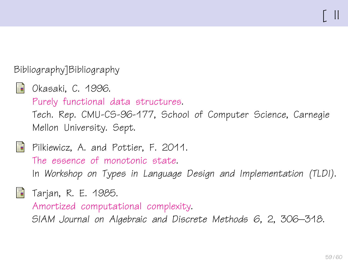### Bibliography]Bibliography

<span id="page-58-1"></span>**Delander** Okasaki, C. 1996. [Purely functional data structures.](http://www.cs.cmu.edu/~rwh/theses/okasaki.pdf) Tech. Rep. CMU-CS-96-177, School of Computer Science, Carnegie Mellon University. Sept.

<span id="page-58-2"></span>**Pilkiewicz, A. and Pottier, F. 2011.** [The essence of monotonic state.](http://gallium.inria.fr/~fpottier/publis/pilkiewicz-pottier-monotonicity.pdf) In Workshop on Types in Language Design and Implementation (TLDI).

<span id="page-58-0"></span>**Tarjan, R. E. 1985.** 

[Amortized computational complexity.](http://dx.doi.org/10.1137/0606031)

SIAM Journal on Algebraic and Discrete Methods 6, 2, 306–318.